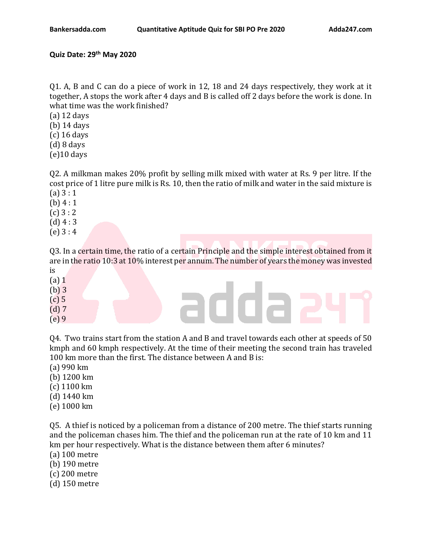## **Quiz Date: 29 th May 2020**

Q1. A, B and C can do a piece of work in 12, 18 and 24 days respectively, they work at it together, A stops the work after 4 days and B is called off 2 days before the work is done. In what time was the work finished?

- (a) 12 days
- (b) 14 days
- (c) 16 days
- (d) 8 days
- $(e)$ 10 days

Q2. A milkman makes 20% profit by selling milk mixed with water at Rs. 9 per litre. If the cost price of 1 litre pure milk is Rs. 10, then the ratio of milk and water in the said mixture is (a) 3 : 1

- (b)  $4:1$
- $(c) 3 : 2$
- $(d)$  4 : 3
- (e) 3 : 4

Q3. In a certain time, the ratio of a certain Principle and the simple interest obtained from it are in the ratio 10:3 at 10% interest per annum. The number of years the money was invested is

- (a) 1
- (b) 3
- (c) 5
- (d) 7
- (e) 9

Q4. Two trains start from the station A and B and travel towards each other at speeds of 50 kmph and 60 kmph respectively. At the time of their meeting the second train has traveled 100 km more than the first. The distance between A and B is:

adda

- (a) 990 km
- (b) 1200 km
- (c) 1100 km
- (d) 1440 km
- (e) 1000 km

Q5. A thief is noticed by a policeman from a distance of 200 metre. The thief starts running and the policeman chases him. The thief and the policeman run at the rate of 10 km and 11 km per hour respectively. What is the distance between them after 6 minutes?

(a) 100 metre

- (b) 190 metre
- (c) 200 metre
- (d) 150 metre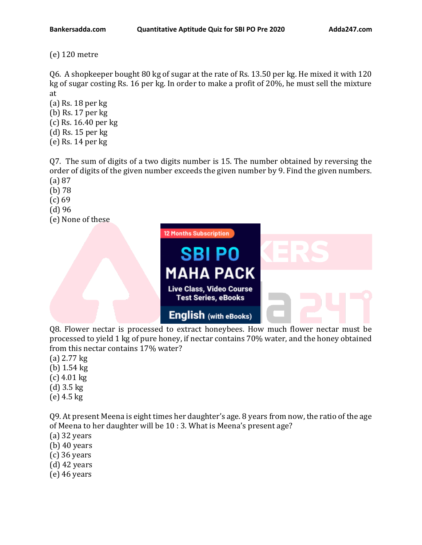(e) 120 metre

Q6. A shopkeeper bought 80 kg of sugar at the rate of Rs. 13.50 per kg. He mixed it with 120 kg of sugar costing Rs. 16 per kg. In order to make a profit of 20%, he must sell the mixture at

- (a) Rs. 18 per kg (b) Rs. 17 per kg
- (c) Rs. 16.40 per kg
- (d) Rs. 15 per kg
- (e) Rs. 14 per kg
- Q7. The sum of digits of a two digits number is 15. The number obtained by reversing the order of digits of the given number exceeds the given number by 9. Find the given numbers. (a) 87
- (b) 78
- (c) 69
- (d) 96
- (e) None of these



Q8. Flower nectar is processed to extract honeybees. How much flower nectar must be processed to yield 1 kg of pure honey, if nectar contains 70% water, and the honey obtained from this nectar contains 17% water?

- (a) 2.77 kg
- (b) 1.54 kg
- (c) 4.01 kg
- (d) 3.5 kg
- (e) 4.5 kg

Q9. At present Meena is eight times her daughter's age. 8 years from now, the ratio of the age of Meena to her daughter will be 10 : 3. What is Meena's present age?

- (a) 32 years
- (b) 40 years
- (c) 36 years
- (d) 42 years
- (e) 46 years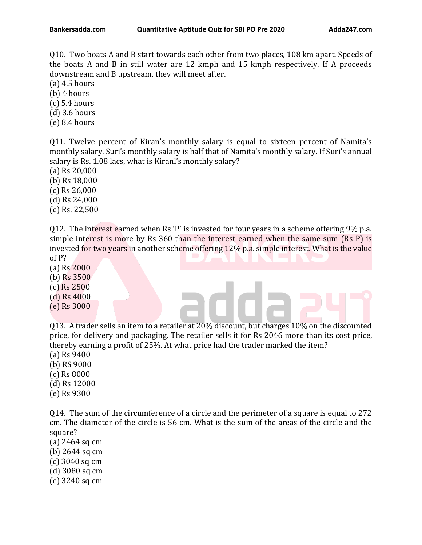Q10. Two boats A and B start towards each other from two places, 108 km apart. Speeds of the boats A and B in still water are 12 kmph and 15 kmph respectively. If A proceeds downstream and B upstream, they will meet after.

(a) 4.5 hours

(b) 4 hours

(c) 5.4 hours

(d) 3.6 hours

(e) 8.4 hours

Q11. Twelve percent of Kiran's monthly salary is equal to sixteen percent of Namita's monthly salary. Suri's monthly salary is half that of Namita's monthly salary. If Suri's annual salary is Rs. 1.08 lacs, what is Kiranl's monthly salary?

(a) Rs 20,000

(b) Rs 18,000

(c) Rs 26,000

(d) Rs 24,000

(e) Rs. 22,500

Q12. The interest earned when Rs 'P' is invested for four years in a scheme offering 9% p.a. simple interest is more by Rs 360 than the interest earned when the same sum (Rs P) is invested for two years in another scheme offering 12% p.a. simple interest. What is the value

of P?

(a) Rs 2000

(b) Rs 3500

(c) Rs 2500 (d) Rs 4000

(e) Rs 3000

Q13. A trader sells an item to a retailer at 20% discount, but charges 10% on the discounted price, for delivery and packaging. The retailer sells it for Rs 2046 more than its cost price, thereby earning a profit of 25%. At what price had the trader marked the item?

(a) Rs 9400

(b) RS 9000

(c) Rs 8000

(d) Rs 12000

(e) Rs 9300

Q14. The sum of the circumference of a circle and the perimeter of a square is equal to 272 cm. The diameter of the circle is 56 cm. What is the sum of the areas of the circle and the square?

(a) 2464 sq cm

(b) 2644 sq cm

- (c) 3040 sq cm
- (d) 3080 sq cm
- (e) 3240 sq cm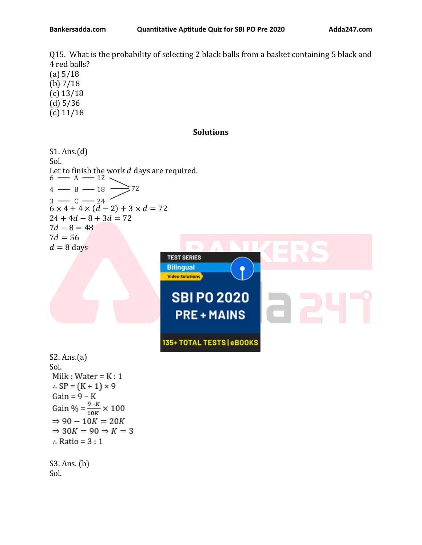Q15. What is the probability of selecting 2 black balls from a basket containing 5 black and 4 red balls? (a) 5/18 (b) 7/18 (c) 13/18 (d) 5/36

(e) 11/18

## **Solutions**

S1. Ans.(d) Sol. Let to finish the work *d* days are required.<br>6  $\frac{12}{\sqrt{12}}$  $4 - B - 18$  $\geq 72$  $3 - C - 24$  $6 \times 4 + 4 \times (d - 2) + 3 \times d = 72$  $24 + 4d - 8 + 3d = 72$  $7d - 8 = 48$  $7d = 56$  $d = 8$  days **TEST SERIES** 



S2. Ans.(a) Sol. Milk : Water =  $K:1$  $\therefore$  SP =  $(K + 1) \times 9$  $Gain = 9 - K$ Gain % =  $\frac{9-K}{10K} \times 100$  $\Rightarrow$  90 - 10K = 20K  $\Rightarrow$  30K = 90  $\Rightarrow$  K = 3  $\therefore$  Ratio = 3 : 1 S3. Ans. (b)

Sol.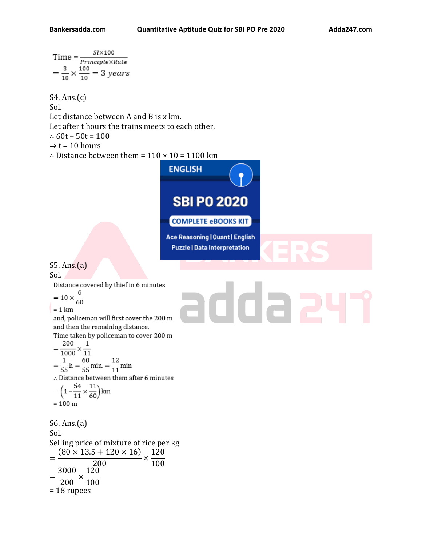$$
Time = \frac{SI \times 100}{Principle \times Rate}
$$

$$
= \frac{3}{10} \times \frac{100}{10} = 3 \text{ years}
$$

S4. Ans.(c) Sol. Let distance between A and B is x km. Let after t hours the trains meets to each other. ∴ 60t – 50t = 100  $\Rightarrow$  t = 10 hours ∴ Distance between them = 110 × [10 = 1100 km](https://www.adda247.com/product-ebooks/5102/sbi-po-2020-complete-ebook-kit-english-medium?utm_source=bankersadda&utm_medium=article)

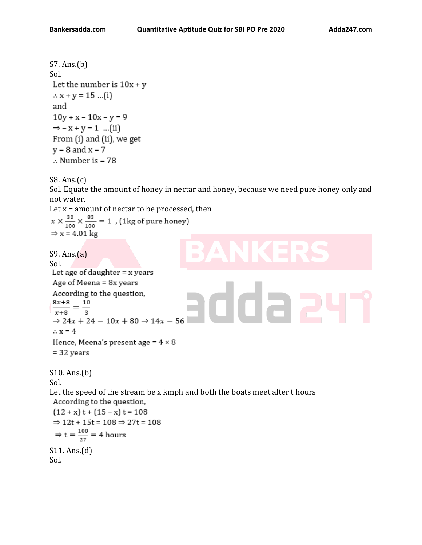```
S7. Ans.(b)
Sol.
Let the number is 10x + y\therefore x + y = 15 ...(i)
 and
 10y + x - 10x - y = 9\Rightarrow - x + y = 1 ...(ii)
 From (i) and (ii), we get
y = 8 and x = 7\therefore Number is = 78
```
S8. Ans.(c)

Sol. Equate the amount of honey in nectar and honey, because we need pure honey only and not water.

Let  $x =$  amount of nectar to be processed, then  $x \times \frac{30}{100} \times \frac{83}{100} = 1$  , (1kg of pure honey)  $\Rightarrow$  x = 4.01 kg

```
S9. Ans.(a)
Sol.<br>Let age of daughter = x years
Age of Meena = 8x years
According to the question,
                                                 rdda,
\frac{8x+8}{1} = \frac{10}{1}\overline{x+8}\Rightarrow 24x + 24 = 10x + 80 \Rightarrow 14x = 56\therefore x = 4
Hence, Meena's present age = 4 \times 8= 32 years
S10. Ans.(b)
Sol.
Let the speed of the stream be x kmph and both the boats meet after t hours 
 According to the question,
 (12 + x) t + (15 - x) t = 108\Rightarrow 12t + 15t = 108 \Rightarrow 27t = 108
 \Rightarrow t = \frac{108}{27} = 4 hours
S11. Ans.(d)
Sol.
```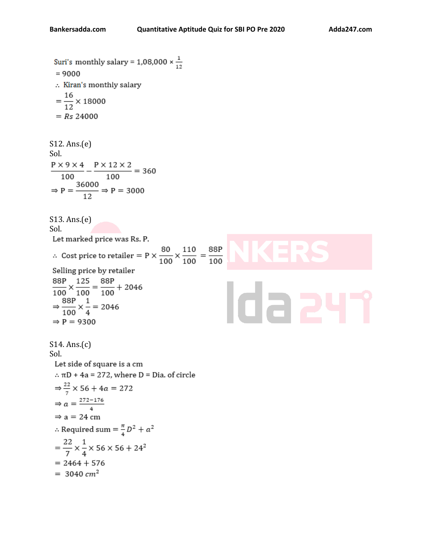Suri's monthly salary = 1,08,000  $\times \frac{1}{12}$  $= 9000$ :. Kiran's monthly salary  $=\frac{16}{12}\times 18000$  $= Rs 24000$ S12. Ans.(e) Sol.  $\frac{P \times 9 \times 4}{100} - \frac{P \times 12 \times 2}{100} = 360$  $\Rightarrow$  P =  $\frac{36000}{12}$   $\Rightarrow$  P = 3000 S13. Ans.(e) Sol. Let marked price was Rs. P. ∴ Cost price to retailer = P  $\times \frac{80}{100} \times \frac{110}{100} = \frac{88P}{100}$ Selling price by retailer  $\frac{88P}{100} \times \frac{125}{100} = \frac{88P}{100} + 2046$ Ida 2  $\Rightarrow \frac{88P}{100} \times \frac{1}{4} = 2046$  $\Rightarrow$  P = 9300 S14. Ans.(c) Sol.Let side of square is a cm  $\therefore$   $\pi$ D + 4a = 272, where D = Dia. of circle  $\Rightarrow \frac{22}{7} \times 56 + 4a = 272$  $\Rightarrow a = \frac{272 - 176}{4}$  $\Rightarrow$  a = 24 cm  $\therefore$  Required sum =  $\frac{\pi}{4}D^2 + a^2$  $=\frac{22}{7}\times\frac{1}{4}\times 56\times 56 + 24^2$  $= 2464 + 576$  $= 3040$  cm<sup>2</sup>